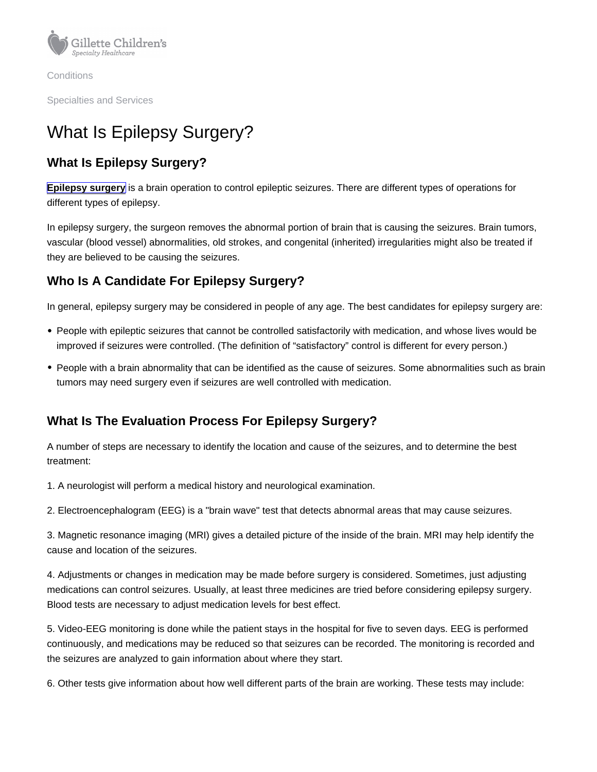**Conditions** 

Specialties and Services

# What Is Epilepsy Surgery?

# What Is Epilepsy Surgery?

[Epilepsy surgery](https://www.gillettechildrens.org/your-visit/patient-education/what-you-need-to-know-about-epilepsy-surgery) is a brain operation to control epileptic seizures. There are different types of operations for different types of epilepsy.

In epilepsy surgery, the surgeon removes the abnormal portion of brain that is causing the seizures. Brain tumors, vascular (blood vessel) abnormalities, old strokes, and congenital (inherited) irregularities might also be treated if they are believed to be causing the seizures.

## Who Is A Candidate For Epilepsy Surgery?

In general, epilepsy surgery may be considered in people of any age. The best candidates for epilepsy surgery are:

- People with epileptic seizures that cannot be controlled satisfactorily with medication, and whose lives would be improved if seizures were controlled. (The definition of "satisfactory" control is different for every person.)
- People with a brain abnormality that can be identified as the cause of seizures. Some abnormalities such as brain tumors may need surgery even if seizures are well controlled with medication.

# What Is The Evaluation Process For Epilepsy Surgery?

A number of steps are necessary to identify the location and cause of the seizures, and to determine the best treatment:

1. A neurologist will perform a medical history and neurological examination.

2. Electroencephalogram (EEG) is a "brain wave" test that detects abnormal areas that may cause seizures.

3. Magnetic resonance imaging (MRI) gives a detailed picture of the inside of the brain. MRI may help identify the cause and location of the seizures.

4. Adjustments or changes in medication may be made before surgery is considered. Sometimes, just adjusting medications can control seizures. Usually, at least three medicines are tried before considering epilepsy surgery. Blood tests are necessary to adjust medication levels for best effect.

5. Video-EEG monitoring is done while the patient stays in the hospital for five to seven days. EEG is performed continuously, and medications may be reduced so that seizures can be recorded. The monitoring is recorded and the seizures are analyzed to gain information about where they start.

6. Other tests give information about how well different parts of the brain are working. These tests may include: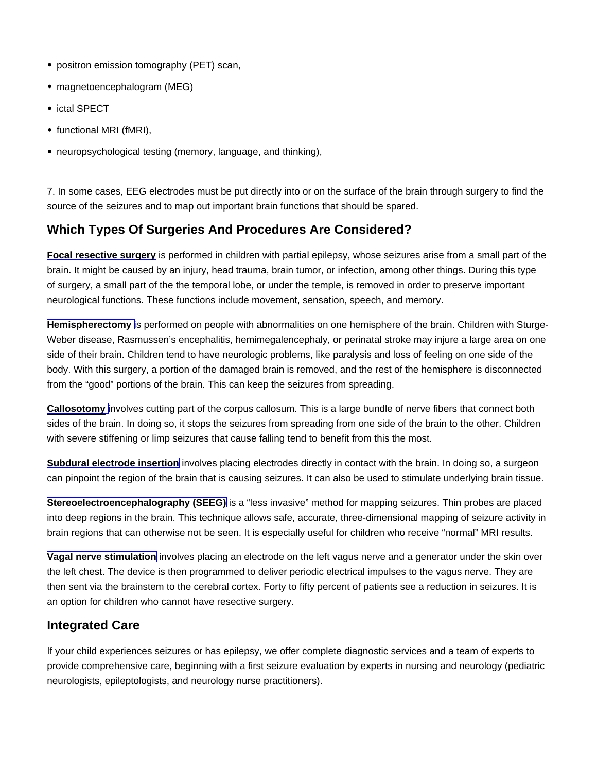- positron emission tomography (PET) scan,
- magnetoencephalogram (MEG)
- ictal SPECT
- functional MRI (fMRI),
- neuropsychological testing (memory, language, and thinking),

7. In some cases, EEG electrodes must be put directly into or on the surface of the brain through surgery to find the source of the seizures and to map out important brain functions that should be spared.

## Which Types Of Surgeries And Procedures Are Considered?

Focal resective surgery is performed in children with partial epilepsy, whose seizures arise from a small part of the brain. It might be caused by an injury, head trauma, brain tumor, or infection, among other things. During this type of surgery, a small part of the the temporal lobe, or under the temple, is removed in order to preserve important neurological functions. These functions include movement, sensation, speech, and memory.

Hemispherectomy is performed on people with abnormalities on one hemisphere of the brain. Children with Sturge-Weber disease, Rasmussen's encephalitis, hemimegalencephaly, or perinatal stroke may injure a large area on one side of their brain. Children tend to have neurologic problems, like paralysis and loss of feeling on one side of the body. With this surgery, a portion of the damaged brain is removed, and the rest of the hemisphere is disconnected from the "good" portions of the brain. This can keep the seizures from spreading.

[Callosotomy](https://www.gillettechildrens.org/conditions-care/corpus-callosotomy)  $\parallel$  involves cutting part of the corpus callosum. This is a large bundle of nerve fibers that connect both sides of the brain. In doing so, it stops the seizures from spreading from one side of the brain to the other. Children with severe stiffening or limp seizures that cause falling tend to benefit from this the most.

Subdural electrode insertion involves placing electrodes directly in contact with the brain. In doing so, a surgeon can pinpoint the region of the brain that is causing seizures. It can also be used to stimulate underlying brain tissue.

Stereoelectroencephalography (SEEG) is a "less invasive" method for mapping seizures. Thin probes are placed into deep regions in the brain. This technique allows safe, accurate, three-dimensional mapping of seizure activity in brain regions that can otherwise not be seen. It is especially useful for children who receive "normal" MRI results.

[Vagal nerve stimulation](https://www.gillettechildrens.org/conditions-care/vagus-nerve-stimulation) involves placing an electrode on the left vagus nerve and a generator under the skin over the left chest. The device is then programmed to deliver periodic electrical impulses to the vagus nerve. They are then sent via the brainstem to the cerebral cortex. Forty to fifty percent of patients see a reduction in seizures. It is an option for children who cannot have resective surgery.

#### Integrated Care

If your child experiences seizures or has epilepsy, we offer complete diagnostic services and a team of experts to provide comprehensive care, beginning with a first seizure evaluation by experts in nursing and neurology (pediatric neurologists, epileptologists, and neurology nurse practitioners).